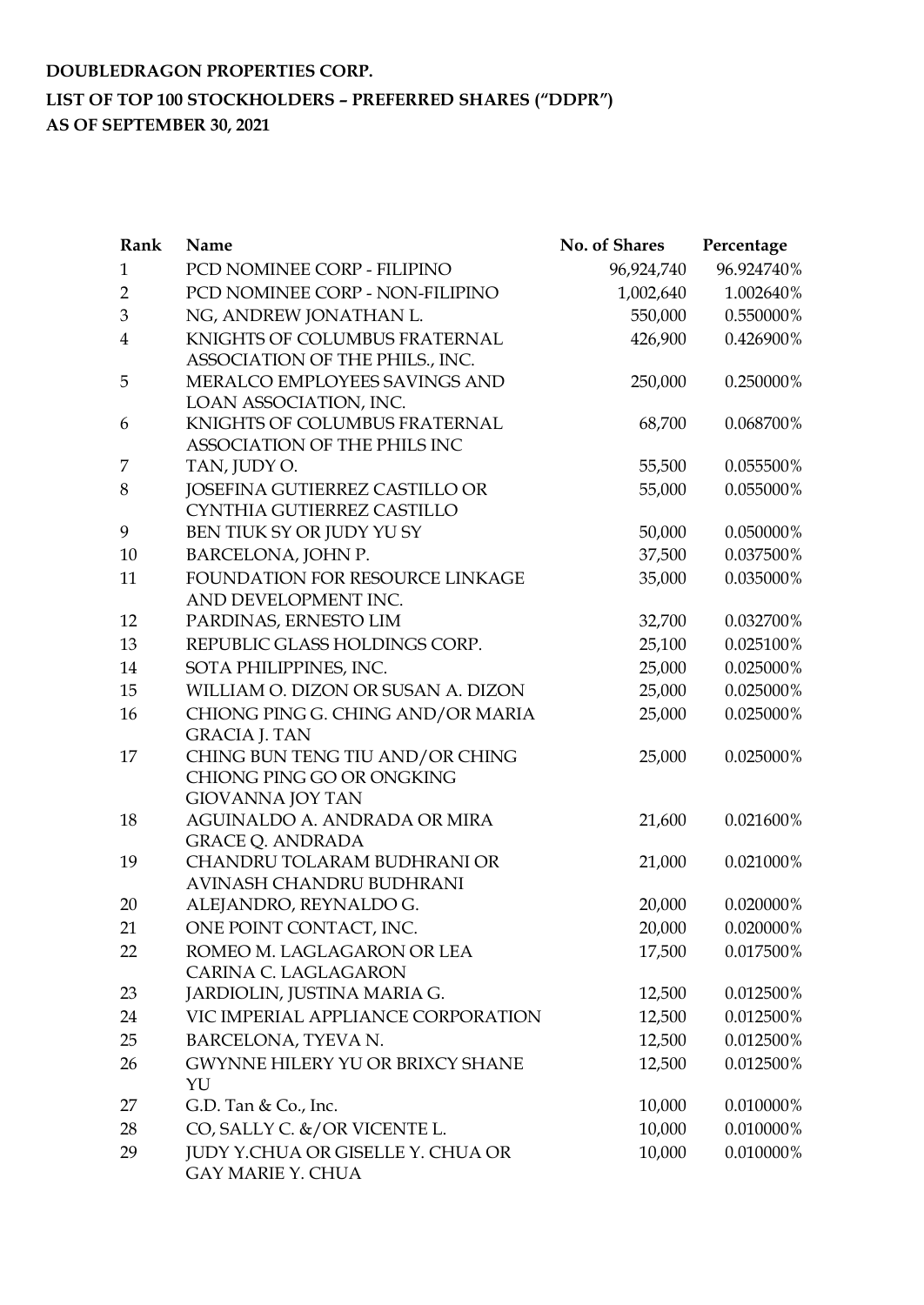# **DOUBLEDRAGON PROPERTIES CORP. LIST OF TOP 100 STOCKHOLDERS – PREFERRED SHARES ("DDPR") AS OF SEPTEMBER 30, 2021**

| Rank           | Name                                    | No. of Shares | Percentage |
|----------------|-----------------------------------------|---------------|------------|
| 1              | PCD NOMINEE CORP - FILIPINO             | 96,924,740    | 96.924740% |
| $\overline{2}$ | PCD NOMINEE CORP - NON-FILIPINO         | 1,002,640     | 1.002640%  |
| 3              | NG, ANDREW JONATHAN L.                  | 550,000       | 0.550000%  |
| $\overline{4}$ | KNIGHTS OF COLUMBUS FRATERNAL           | 426,900       | 0.426900%  |
|                | ASSOCIATION OF THE PHILS., INC.         |               |            |
| 5              | MERALCO EMPLOYEES SAVINGS AND           | 250,000       | 0.250000%  |
|                | LOAN ASSOCIATION, INC.                  |               |            |
| 6              | KNIGHTS OF COLUMBUS FRATERNAL           | 68,700        | 0.068700%  |
|                | ASSOCIATION OF THE PHILS INC            |               |            |
| 7              | TAN, JUDY O.                            | 55,500        | 0.055500%  |
| 8              | JOSEFINA GUTIERREZ CASTILLO OR          | 55,000        | 0.055000%  |
|                | CYNTHIA GUTIERREZ CASTILLO              |               |            |
| 9              | BEN TIUK SY OR JUDY YU SY               | 50,000        | 0.050000%  |
| 10             | BARCELONA, JOHN P.                      | 37,500        | 0.037500%  |
| 11             | FOUNDATION FOR RESOURCE LINKAGE         | 35,000        | 0.035000%  |
|                | AND DEVELOPMENT INC.                    |               |            |
| 12             | PARDINAS, ERNESTO LIM                   | 32,700        | 0.032700%  |
| 13             | REPUBLIC GLASS HOLDINGS CORP.           | 25,100        | 0.025100%  |
| 14             | SOTA PHILIPPINES, INC.                  | 25,000        | 0.025000%  |
| 15             | WILLIAM O. DIZON OR SUSAN A. DIZON      | 25,000        | 0.025000%  |
| 16             | CHIONG PING G. CHING AND/OR MARIA       | 25,000        | 0.025000%  |
|                | <b>GRACIA J. TAN</b>                    |               |            |
| 17             | CHING BUN TENG TIU AND/OR CHING         | 25,000        | 0.025000%  |
|                | CHIONG PING GO OR ONGKING               |               |            |
|                | <b>GIOVANNA JOY TAN</b>                 |               |            |
| 18             | AGUINALDO A. ANDRADA OR MIRA            | 21,600        | 0.021600%  |
|                | <b>GRACE Q. ANDRADA</b>                 |               |            |
| 19             | CHANDRU TOLARAM BUDHRANI OR             | 21,000        | 0.021000%  |
|                | AVINASH CHANDRU BUDHRANI                |               |            |
| 20             | ALEJANDRO, REYNALDO G.                  | 20,000        | 0.020000%  |
| 21             | ONE POINT CONTACT, INC.                 | 20,000        | 0.020000%  |
| 22             | ROMEO M. LAGLAGARON OR LEA              | 17,500        | 0.017500%  |
|                | CARINA C. LAGLAGARON                    |               |            |
| 23             | JARDIOLIN, JUSTINA MARIA G.             | 12,500        | 0.012500%  |
| 24             | VIC IMPERIAL APPLIANCE CORPORATION      | 12,500        | 0.012500%  |
| 25             | BARCELONA, TYEVA N.                     | 12,500        | 0.012500%  |
| 26             | <b>GWYNNE HILERY YU OR BRIXCY SHANE</b> | 12,500        | 0.012500%  |
|                | YU                                      |               |            |
| 27             | G.D. Tan $& Co., Inc.$                  | 10,000        | 0.010000%  |
| 28             | CO, SALLY C. &/OR VICENTE L.            | 10,000        | 0.010000%  |
| 29             | JUDY Y.CHUA OR GISELLE Y. CHUA OR       | 10,000        | 0.010000%  |
|                | <b>GAY MARIE Y. CHUA</b>                |               |            |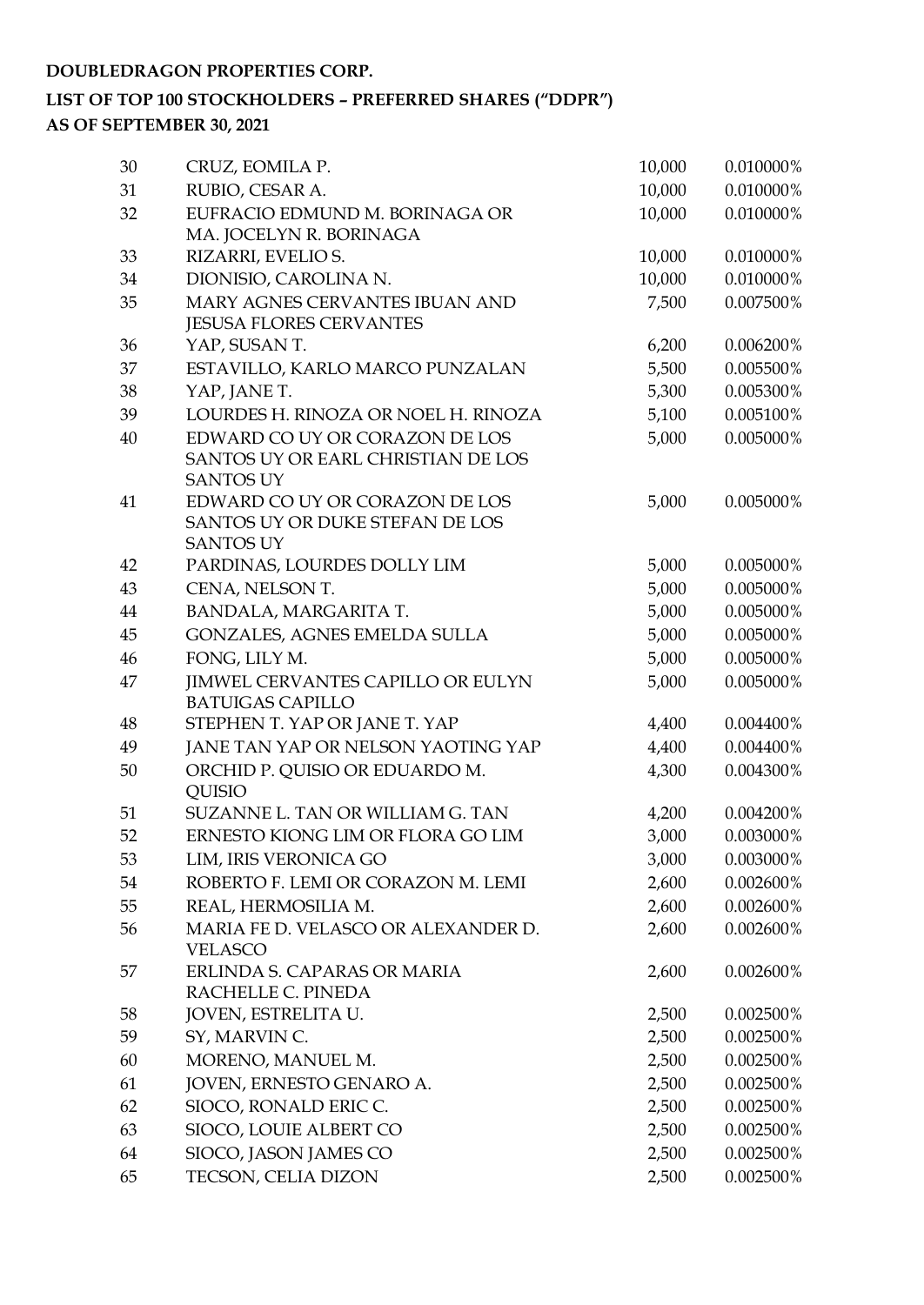| 30 | CRUZ, EOMILA P.                                                  | 10,000 | 0.010000%    |
|----|------------------------------------------------------------------|--------|--------------|
| 31 | RUBIO, CESAR A.                                                  | 10,000 | 0.010000%    |
| 32 | EUFRACIO EDMUND M. BORINAGA OR                                   | 10,000 | 0.010000%    |
|    | MA. JOCELYN R. BORINAGA                                          |        |              |
| 33 | RIZARRI, EVELIO S.                                               | 10,000 | 0.010000%    |
| 34 | DIONISIO, CAROLINA N.                                            | 10,000 | 0.010000%    |
| 35 | MARY AGNES CERVANTES IBUAN AND<br><b>JESUSA FLORES CERVANTES</b> | 7,500  | 0.007500%    |
| 36 | YAP, SUSAN T.                                                    | 6,200  | 0.006200%    |
| 37 | ESTAVILLO, KARLO MARCO PUNZALAN                                  | 5,500  | 0.005500%    |
| 38 | YAP, JANE T.                                                     | 5,300  | 0.005300%    |
| 39 | LOURDES H. RINOZA OR NOEL H. RINOZA                              | 5,100  | 0.005100%    |
| 40 | EDWARD CO UY OR CORAZON DE LOS                                   | 5,000  | 0.005000%    |
|    | SANTOS UY OR EARL CHRISTIAN DE LOS                               |        |              |
|    | <b>SANTOS UY</b>                                                 |        |              |
| 41 | EDWARD CO UY OR CORAZON DE LOS                                   | 5,000  | 0.005000%    |
|    | SANTOS UY OR DUKE STEFAN DE LOS<br><b>SANTOS UY</b>              |        |              |
| 42 | PARDINAS, LOURDES DOLLY LIM                                      | 5,000  | 0.005000%    |
| 43 | CENA, NELSON T.                                                  | 5,000  | 0.005000%    |
| 44 | BANDALA, MARGARITA T.                                            | 5,000  | 0.005000%    |
| 45 | GONZALES, AGNES EMELDA SULLA                                     | 5,000  | $0.005000\%$ |
| 46 | FONG, LILY M.                                                    | 5,000  | 0.005000%    |
| 47 | <b>JIMWEL CERVANTES CAPILLO OR EULYN</b>                         | 5,000  | 0.005000%    |
|    | <b>BATUIGAS CAPILLO</b>                                          |        |              |
| 48 | STEPHEN T. YAP OR JANE T. YAP                                    | 4,400  | 0.004400%    |
| 49 | JANE TAN YAP OR NELSON YAOTING YAP                               | 4,400  | 0.004400%    |
| 50 | ORCHID P. QUISIO OR EDUARDO M.                                   | 4,300  | 0.004300%    |
|    | <b>QUISIO</b>                                                    |        |              |
| 51 | SUZANNE L. TAN OR WILLIAM G. TAN                                 | 4,200  | 0.004200%    |
| 52 | ERNESTO KIONG LIM OR FLORA GO LIM                                | 3,000  | 0.003000%    |
| 53 | LIM, IRIS VERONICA GO                                            | 3,000  | 0.003000%    |
| 54 | ROBERTO F. LEMI OR CORAZON M. LEMI                               | 2,600  | 0.002600%    |
| 55 | REAL, HERMOSILIA M.                                              | 2,600  | 0.002600%    |
| 56 | MARIA FE D. VELASCO OR ALEXANDER D.                              | 2,600  | 0.002600%    |
|    | <b>VELASCO</b>                                                   |        |              |
| 57 | ERLINDA S. CAPARAS OR MARIA                                      | 2,600  | 0.002600%    |
|    | RACHELLE C. PINEDA                                               |        |              |
| 58 | JOVEN, ESTRELITA U.                                              | 2,500  | 0.002500%    |
| 59 | SY, MARVIN C.                                                    | 2,500  | 0.002500%    |
| 60 | MORENO, MANUEL M.                                                | 2,500  | 0.002500%    |
| 61 | JOVEN, ERNESTO GENARO A.                                         | 2,500  | 0.002500%    |
| 62 | SIOCO, RONALD ERIC C.                                            | 2,500  | 0.002500%    |
| 63 | SIOCO, LOUIE ALBERT CO                                           | 2,500  | 0.002500%    |
| 64 | SIOCO, JASON JAMES CO                                            | 2,500  | 0.002500%    |
| 65 | TECSON, CELIA DIZON                                              | 2,500  | 0.002500%    |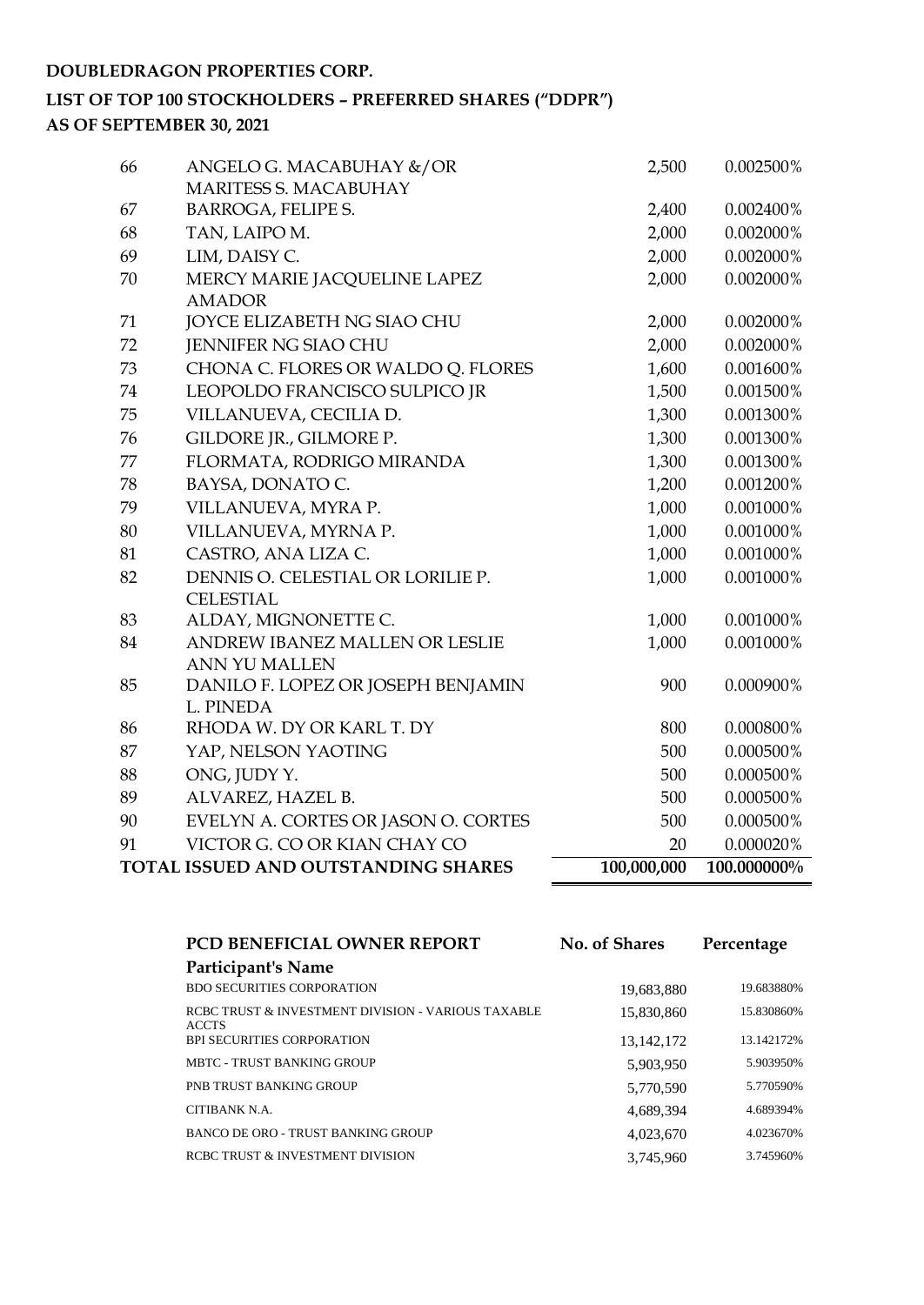| 66 | ANGELO G. MACABUHAY &/OR                      | 2,500       | 0.002500%   |
|----|-----------------------------------------------|-------------|-------------|
|    | MARITESS S. MACABUHAY                         |             |             |
| 67 | <b>BARROGA, FELIPE S.</b>                     | 2,400       | 0.002400%   |
| 68 | TAN, LAIPO M.                                 | 2,000       | 0.002000%   |
| 69 | LIM, DAISY C.                                 | 2,000       | 0.002000%   |
| 70 | MERCY MARIE JACQUELINE LAPEZ<br><b>AMADOR</b> | 2,000       | 0.002000%   |
| 71 | JOYCE ELIZABETH NG SIAO CHU                   | 2,000       | 0.002000%   |
| 72 | JENNIFER NG SIAO CHU                          | 2,000       | 0.002000%   |
| 73 | CHONA C. FLORES OR WALDO Q. FLORES            | 1,600       | 0.001600%   |
| 74 | LEOPOLDO FRANCISCO SULPICO JR                 | 1,500       | 0.001500%   |
| 75 | VILLANUEVA, CECILIA D.                        | 1,300       | 0.001300%   |
| 76 | GILDORE JR., GILMORE P.                       | 1,300       | 0.001300%   |
| 77 | FLORMATA, RODRIGO MIRANDA                     | 1,300       | 0.001300%   |
| 78 | BAYSA, DONATO C.                              | 1,200       | 0.001200%   |
| 79 | VILLANUEVA, MYRA P.                           | 1,000       | 0.001000%   |
| 80 | VILLANUEVA, MYRNA P.                          | 1,000       | 0.001000%   |
| 81 | CASTRO, ANA LIZA C.                           | 1,000       | 0.001000%   |
| 82 | DENNIS O. CELESTIAL OR LORILIE P.             | 1,000       | 0.001000%   |
|    | <b>CELESTIAL</b>                              |             |             |
| 83 | ALDAY, MIGNONETTE C.                          | 1,000       | 0.001000%   |
| 84 | ANDREW IBANEZ MALLEN OR LESLIE                | 1,000       | 0.001000%   |
|    | ANN YU MALLEN                                 |             |             |
| 85 | DANILO F. LOPEZ OR JOSEPH BENJAMIN            | 900         | 0.000900%   |
|    | L. PINEDA<br>RHODA W. DY OR KARL T. DY        |             |             |
| 86 |                                               | 800         | 0.000800%   |
| 87 | YAP, NELSON YAOTING                           | 500         | 0.000500%   |
| 88 | ONG, JUDY Y.                                  | 500         | 0.000500%   |
| 89 | ALVAREZ, HAZEL B.                             | 500         | 0.000500%   |
| 90 | EVELYN A. CORTES OR JASON O. CORTES           | 500         | 0.000500%   |
| 91 | VICTOR G. CO OR KIAN CHAY CO                  | 20          | 0.000020%   |
|    | TOTAL ISSUED AND OUTSTANDING SHARES           | 100,000,000 | 100.000000% |

| <b>PCD BENEFICIAL OWNER REPORT</b>                                 | <b>No. of Shares</b> | Percentage |
|--------------------------------------------------------------------|----------------------|------------|
| Participant's Name                                                 |                      |            |
| <b>BDO SECURITIES CORPORATION</b>                                  | 19,683,880           | 19.683880% |
| RCBC TRUST & INVESTMENT DIVISION - VARIOUS TAXABLE<br><b>ACCTS</b> | 15,830,860           | 15.830860% |
| <b>BPI SECURITIES CORPORATION</b>                                  | 13, 142, 172         | 13.142172% |
| <b>MBTC - TRUST BANKING GROUP</b>                                  | 5,903,950            | 5.903950%  |
| PNB TRUST BANKING GROUP                                            | 5,770,590            | 5.770590%  |
| CITIBANK N.A.                                                      | 4,689,394            | 4.689394%  |
| BANCO DE ORO - TRUST BANKING GROUP                                 | 4,023,670            | 4.023670%  |
| RCBC TRUST & INVESTMENT DIVISION                                   | 3,745,960            | 3.745960%  |
|                                                                    |                      |            |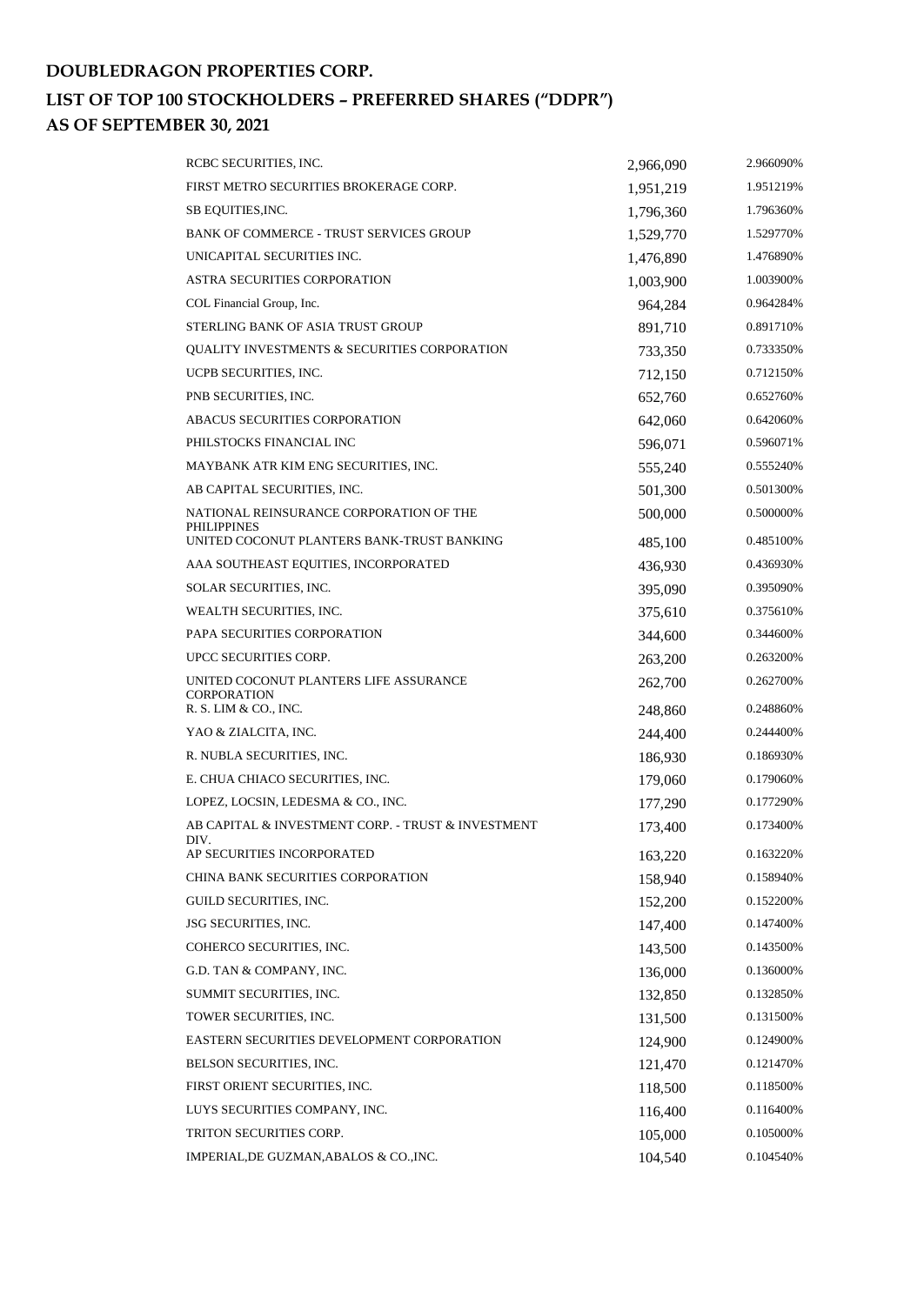| RCBC SECURITIES, INC.                                         | 2,966,090 | 2.966090% |
|---------------------------------------------------------------|-----------|-----------|
| FIRST METRO SECURITIES BROKERAGE CORP.                        | 1,951,219 | 1.951219% |
| SB EQUITIES, INC.                                             | 1,796,360 | 1.796360% |
| <b>BANK OF COMMERCE - TRUST SERVICES GROUP</b>                | 1,529,770 | 1.529770% |
| UNICAPITAL SECURITIES INC.                                    | 1,476,890 | 1.476890% |
| <b>ASTRA SECURITIES CORPORATION</b>                           | 1,003,900 | 1.003900% |
| COL Financial Group, Inc.                                     | 964,284   | 0.964284% |
| STERLING BANK OF ASIA TRUST GROUP                             | 891,710   | 0.891710% |
| QUALITY INVESTMENTS & SECURITIES CORPORATION                  | 733,350   | 0.733350% |
| UCPB SECURITIES, INC.                                         | 712,150   | 0.712150% |
| PNB SECURITIES, INC.                                          | 652,760   | 0.652760% |
| ABACUS SECURITIES CORPORATION                                 | 642,060   | 0.642060% |
| PHILSTOCKS FINANCIAL INC                                      | 596,071   | 0.596071% |
| MAYBANK ATR KIM ENG SECURITIES, INC.                          | 555,240   | 0.555240% |
| AB CAPITAL SECURITIES, INC.                                   | 501,300   | 0.501300% |
| NATIONAL REINSURANCE CORPORATION OF THE<br><b>PHILIPPINES</b> | 500,000   | 0.500000% |
| UNITED COCONUT PLANTERS BANK-TRUST BANKING                    | 485,100   | 0.485100% |
| AAA SOUTHEAST EQUITIES, INCORPORATED                          | 436,930   | 0.436930% |
| SOLAR SECURITIES, INC.                                        | 395,090   | 0.395090% |
| WEALTH SECURITIES, INC.                                       | 375,610   | 0.375610% |
| PAPA SECURITIES CORPORATION                                   | 344,600   | 0.344600% |
| UPCC SECURITIES CORP.                                         | 263,200   | 0.263200% |
| UNITED COCONUT PLANTERS LIFE ASSURANCE<br><b>CORPORATION</b>  | 262,700   | 0.262700% |
| R. S. LIM & CO., INC.                                         | 248,860   | 0.248860% |
| YAO & ZIALCITA, INC.                                          | 244,400   | 0.244400% |
| R. NUBLA SECURITIES, INC.                                     | 186,930   | 0.186930% |
| E. CHUA CHIACO SECURITIES, INC.                               | 179,060   | 0.179060% |
| LOPEZ, LOCSIN, LEDESMA & CO., INC.                            | 177,290   | 0.177290% |
| AB CAPITAL & INVESTMENT CORP. - TRUST & INVESTMENT<br>DIV.    | 173,400   | 0.173400% |
| AP SECURITIES INCORPORATED                                    | 163,220   | 0.163220% |
| CHINA BANK SECURITIES CORPORATION                             | 158,940   | 0.158940% |
| GUILD SECURITIES, INC.                                        | 152,200   | 0.152200% |
| JSG SECURITIES, INC.                                          | 147,400   | 0.147400% |
| COHERCO SECURITIES, INC.                                      | 143,500   | 0.143500% |
| G.D. TAN & COMPANY, INC.                                      | 136,000   | 0.136000% |
| SUMMIT SECURITIES, INC.                                       | 132,850   | 0.132850% |
| TOWER SECURITIES, INC.                                        | 131,500   | 0.131500% |
| EASTERN SECURITIES DEVELOPMENT CORPORATION                    | 124,900   | 0.124900% |
| BELSON SECURITIES, INC.                                       | 121,470   | 0.121470% |
| FIRST ORIENT SECURITIES, INC.                                 | 118,500   | 0.118500% |
| LUYS SECURITIES COMPANY, INC.                                 | 116,400   | 0.116400% |
| TRITON SECURITIES CORP.                                       | 105,000   | 0.105000% |
| IMPERIAL, DE GUZMAN, ABALOS & CO., INC.                       | 104,540   | 0.104540% |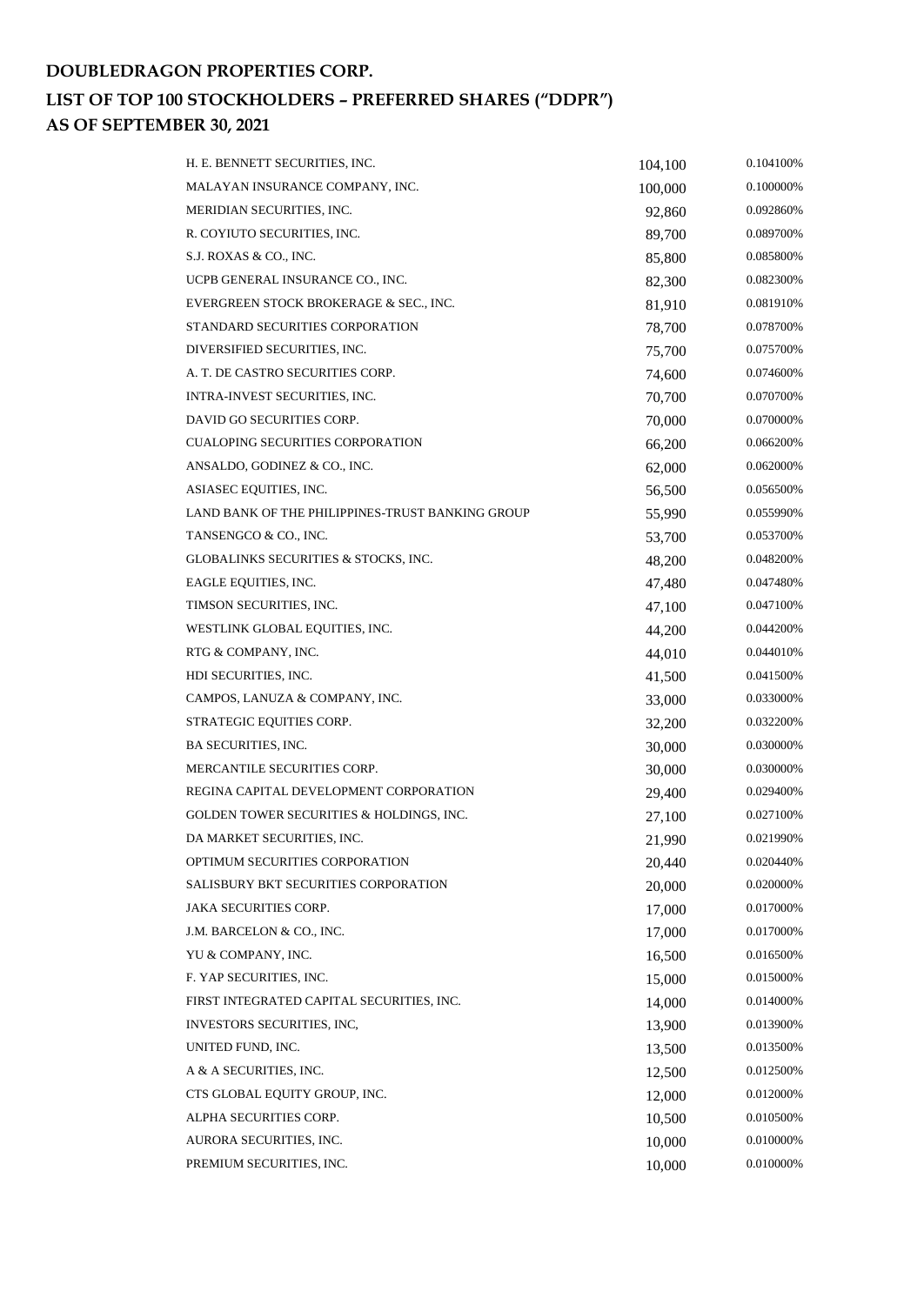| H. E. BENNETT SECURITIES, INC.                   | 104,100 | 0.104100%    |
|--------------------------------------------------|---------|--------------|
| MALAYAN INSURANCE COMPANY, INC.                  | 100,000 | 0.100000%    |
| MERIDIAN SECURITIES, INC.                        | 92,860  | 0.092860%    |
| R. COYIUTO SECURITIES, INC.                      | 89,700  | 0.089700%    |
| S.J. ROXAS & CO., INC.                           | 85,800  | 0.085800%    |
| UCPB GENERAL INSURANCE CO., INC.                 | 82,300  | 0.082300%    |
| EVERGREEN STOCK BROKERAGE & SEC., INC.           | 81,910  | 0.081910%    |
| STANDARD SECURITIES CORPORATION                  | 78,700  | 0.078700%    |
| DIVERSIFIED SECURITIES, INC.                     | 75,700  | 0.075700%    |
| A. T. DE CASTRO SECURITIES CORP.                 | 74,600  | 0.074600%    |
| INTRA-INVEST SECURITIES, INC.                    | 70,700  | 0.070700%    |
| DAVID GO SECURITIES CORP.                        | 70,000  | 0.070000%    |
| <b>CUALOPING SECURITIES CORPORATION</b>          | 66,200  | 0.066200%    |
| ANSALDO, GODINEZ & CO., INC.                     | 62,000  | 0.062000%    |
| ASIASEC EQUITIES, INC.                           | 56,500  | 0.056500%    |
| LAND BANK OF THE PHILIPPINES-TRUST BANKING GROUP | 55,990  | 0.055990%    |
| TANSENGCO & CO., INC.                            | 53,700  | 0.053700%    |
| GLOBALINKS SECURITIES & STOCKS, INC.             | 48,200  | 0.048200%    |
| EAGLE EQUITIES, INC.                             | 47,480  | 0.047480%    |
| TIMSON SECURITIES, INC.                          | 47,100  | 0.047100%    |
| WESTLINK GLOBAL EQUITIES, INC.                   | 44,200  | 0.044200%    |
| RTG & COMPANY, INC.                              | 44,010  | $0.044010\%$ |
| HDI SECURITIES, INC.                             | 41,500  | 0.041500%    |
| CAMPOS, LANUZA & COMPANY, INC.                   | 33,000  | 0.033000%    |
| STRATEGIC EQUITIES CORP.                         | 32,200  | 0.032200%    |
| <b>BA SECURITIES, INC.</b>                       | 30,000  | 0.030000%    |
| MERCANTILE SECURITIES CORP.                      | 30,000  | 0.030000%    |
| REGINA CAPITAL DEVELOPMENT CORPORATION           | 29,400  | 0.029400%    |
| GOLDEN TOWER SECURITIES & HOLDINGS, INC.         | 27,100  | 0.027100%    |
| DA MARKET SECURITIES, INC.                       | 21,990  | 0.021990%    |
| OPTIMUM SECURITIES CORPORATION                   | 20,440  | 0.020440%    |
| SALISBURY BKT SECURITIES CORPORATION             | 20,000  | $0.020000\%$ |
| <b>JAKA SECURITIES CORP.</b>                     | 17,000  | 0.017000%    |
| J.M. BARCELON & CO., INC.                        | 17,000  | 0.017000%    |
| YU & COMPANY, INC.                               | 16,500  | 0.016500%    |
| F. YAP SECURITIES, INC.                          | 15,000  | 0.015000%    |
| FIRST INTEGRATED CAPITAL SECURITIES, INC.        | 14,000  | 0.014000%    |
| INVESTORS SECURITIES, INC,                       | 13,900  | 0.013900%    |
| UNITED FUND, INC.                                | 13,500  | 0.013500%    |
| A & A SECURITIES, INC.                           | 12,500  | 0.012500%    |
| CTS GLOBAL EQUITY GROUP, INC.                    | 12,000  | 0.012000%    |
| ALPHA SECURITIES CORP.                           | 10,500  | 0.010500%    |
| AURORA SECURITIES, INC.                          | 10,000  | 0.010000%    |
| PREMIUM SECURITIES, INC.                         | 10,000  | 0.010000%    |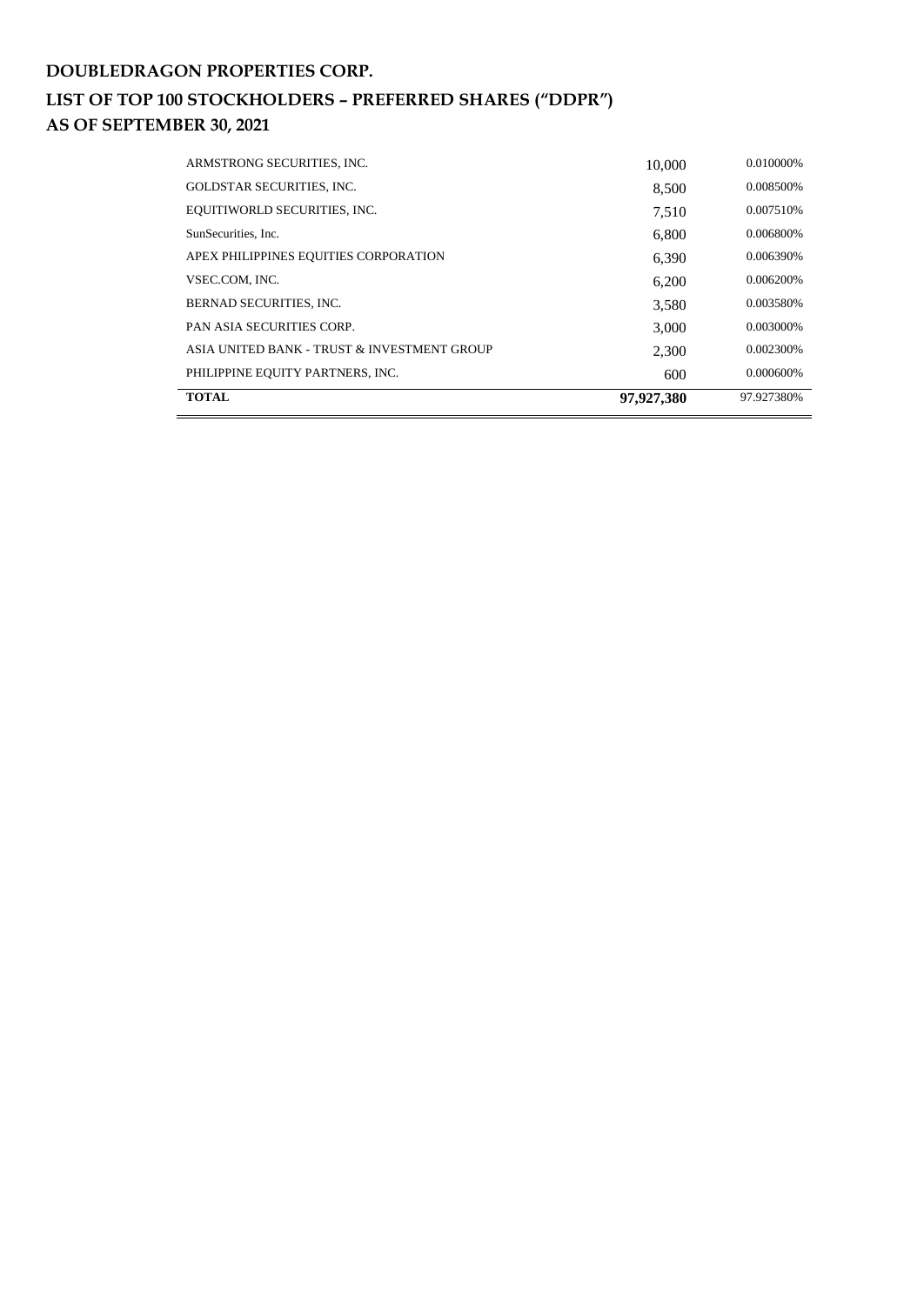| <b>TOTAL</b>                                | 97.927.380 | 97.927380% |
|---------------------------------------------|------------|------------|
| PHILIPPINE EQUITY PARTNERS, INC.            | 600        | 0.000600%  |
| ASIA UNITED BANK - TRUST & INVESTMENT GROUP | 2.300      | 0.002300%  |
| <b>PAN ASIA SECURITIES CORP.</b>            | 3,000      | 0.003000%  |
| <b>BERNAD SECURITIES, INC.</b>              | 3,580      | 0.003580%  |
| VSEC.COM. INC.                              | 6,200      | 0.006200%  |
| APEX PHILIPPINES EQUITIES CORPORATION       | 6.390      | 0.006390%  |
| SunSecurities. Inc.                         | 6.800      | 0.006800%  |
| EQUITIWORLD SECURITIES, INC.                | 7.510      | 0.007510\% |
| <b>GOLDSTAR SECURITIES, INC.</b>            | 8,500      | 0.008500%  |
| ARMSTRONG SECURITIES, INC.                  | 10,000     | 0.010000%  |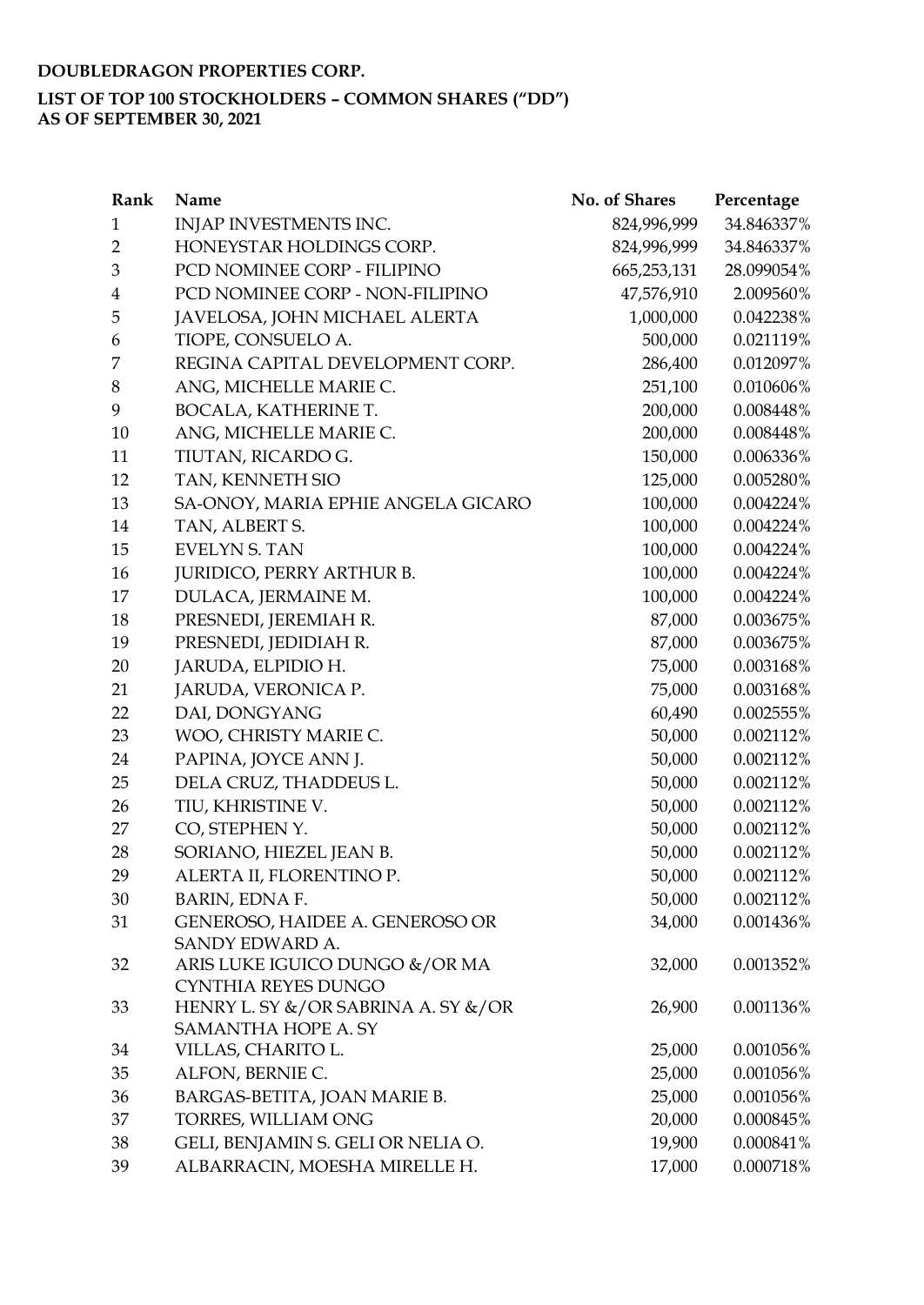## **LIST OF TOP 100 STOCKHOLDERS – COMMON SHARES ("DD")**

**AS OF SEPTEMBER 30, 2021**

| Rank           | Name                                | No. of Shares | Percentage |
|----------------|-------------------------------------|---------------|------------|
| $\mathbf{1}$   | INJAP INVESTMENTS INC.              | 824,996,999   | 34.846337% |
| $\overline{2}$ | HONEYSTAR HOLDINGS CORP.            | 824,996,999   | 34.846337% |
| 3              | PCD NOMINEE CORP - FILIPINO         | 665,253,131   | 28.099054% |
| $\overline{4}$ | PCD NOMINEE CORP - NON-FILIPINO     | 47,576,910    | 2.009560%  |
| 5              | JAVELOSA, JOHN MICHAEL ALERTA       | 1,000,000     | 0.042238%  |
| 6              | TIOPE, CONSUELO A.                  | 500,000       | 0.021119%  |
| 7              | REGINA CAPITAL DEVELOPMENT CORP.    | 286,400       | 0.012097%  |
| 8              | ANG, MICHELLE MARIE C.              | 251,100       | 0.010606%  |
| 9              | BOCALA, KATHERINE T.                | 200,000       | 0.008448%  |
| 10             | ANG, MICHELLE MARIE C.              | 200,000       | 0.008448%  |
| 11             | TIUTAN, RICARDO G.                  | 150,000       | 0.006336%  |
| 12             | TAN, KENNETH SIO                    | 125,000       | 0.005280%  |
| 13             | SA-ONOY, MARIA EPHIE ANGELA GICARO  | 100,000       | 0.004224%  |
| 14             | TAN, ALBERT S.                      | 100,000       | 0.004224%  |
| 15             | <b>EVELYN S. TAN</b>                | 100,000       | 0.004224%  |
| 16             | <b>JURIDICO, PERRY ARTHUR B.</b>    | 100,000       | 0.004224%  |
| 17             | DULACA, JERMAINE M.                 | 100,000       | 0.004224%  |
| 18             | PRESNEDI, JEREMIAH R.               | 87,000        | 0.003675%  |
| 19             | PRESNEDI, JEDIDIAH R.               | 87,000        | 0.003675%  |
| 20             | JARUDA, ELPIDIO H.                  | 75,000        | 0.003168%  |
| 21             | JARUDA, VERONICA P.                 | 75,000        | 0.003168%  |
| 22             | DAI, DONGYANG                       | 60,490        | 0.002555%  |
| 23             | WOO, CHRISTY MARIE C.               | 50,000        | 0.002112%  |
| 24             | PAPINA, JOYCE ANN J.                | 50,000        | 0.002112%  |
| 25             | DELA CRUZ, THADDEUS L.              | 50,000        | 0.002112%  |
| 26             | TIU, KHRISTINE V.                   | 50,000        | 0.002112%  |
| 27             | CO, STEPHEN Y.                      | 50,000        | 0.002112%  |
| 28             | SORIANO, HIEZEL JEAN B.             | 50,000        | 0.002112%  |
| 29             | ALERTA II, FLORENTINO P.            | 50,000        | 0.002112%  |
| 30             | <b>BARIN, EDNA F.</b>               | 50,000        | 0.002112%  |
| 31             | GENEROSO, HAIDEE A. GENEROSO OR     | 34,000        | 0.001436%  |
|                | SANDY EDWARD A.                     |               |            |
| 32             | ARIS LUKE IGUICO DUNGO &/OR MA      | 32,000        | 0.001352%  |
|                | <b>CYNTHIA REYES DUNGO</b>          |               |            |
| 33             | HENRY L. SY &/OR SABRINA A. SY &/OR | 26,900        | 0.001136%  |
|                | SAMANTHA HOPE A. SY                 |               |            |
| 34             | VILLAS, CHARITO L.                  | 25,000        | 0.001056%  |
| 35             | ALFON, BERNIE C.                    | 25,000        | 0.001056%  |
| 36             | BARGAS-BETITA, JOAN MARIE B.        | 25,000        | 0.001056%  |
| 37             | TORRES, WILLIAM ONG                 | 20,000        | 0.000845%  |
| 38             | GELI, BENJAMIN S. GELI OR NELIA O.  | 19,900        | 0.000841%  |
| 39             | ALBARRACIN, MOESHA MIRELLE H.       | 17,000        | 0.000718%  |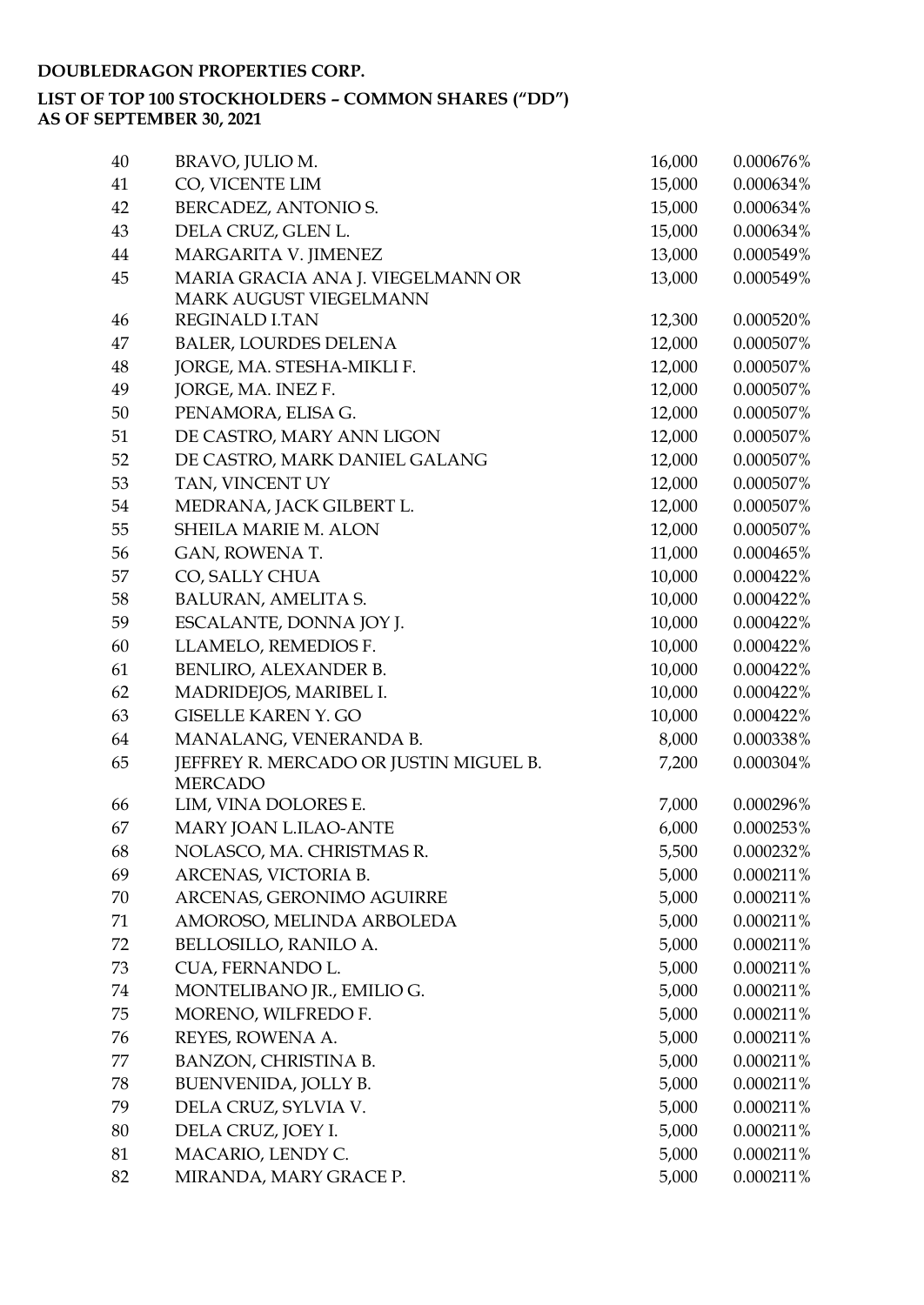| 40 | BRAVO, JULIO M.                        | 16,000 | 0.000676% |
|----|----------------------------------------|--------|-----------|
| 41 | CO, VICENTE LIM                        | 15,000 | 0.000634% |
| 42 | BERCADEZ, ANTONIO S.                   | 15,000 | 0.000634% |
| 43 | DELA CRUZ, GLEN L.                     | 15,000 | 0.000634% |
| 44 | MARGARITA V. JIMENEZ                   | 13,000 | 0.000549% |
| 45 | MARIA GRACIA ANA J. VIEGELMANN OR      | 13,000 | 0.000549% |
|    | MARK AUGUST VIEGELMANN                 |        |           |
| 46 | <b>REGINALD I.TAN</b>                  | 12,300 | 0.000520% |
| 47 | <b>BALER, LOURDES DELENA</b>           | 12,000 | 0.000507% |
| 48 | JORGE, MA. STESHA-MIKLI F.             | 12,000 | 0.000507% |
| 49 | JORGE, MA. INEZ F.                     | 12,000 | 0.000507% |
| 50 | PENAMORA, ELISA G.                     | 12,000 | 0.000507% |
| 51 | DE CASTRO, MARY ANN LIGON              | 12,000 | 0.000507% |
| 52 | DE CASTRO, MARK DANIEL GALANG          | 12,000 | 0.000507% |
| 53 | TAN, VINCENT UY                        | 12,000 | 0.000507% |
| 54 | MEDRANA, JACK GILBERT L.               | 12,000 | 0.000507% |
| 55 | SHEILA MARIE M. ALON                   | 12,000 | 0.000507% |
| 56 | GAN, ROWENA T.                         | 11,000 | 0.000465% |
| 57 | CO, SALLY CHUA                         | 10,000 | 0.000422% |
| 58 | BALURAN, AMELITA S.                    | 10,000 | 0.000422% |
| 59 | ESCALANTE, DONNA JOY J.                | 10,000 | 0.000422% |
| 60 | LLAMELO, REMEDIOS F.                   | 10,000 | 0.000422% |
| 61 | BENLIRO, ALEXANDER B.                  | 10,000 | 0.000422% |
| 62 | MADRIDEJOS, MARIBEL I.                 | 10,000 | 0.000422% |
| 63 | <b>GISELLE KAREN Y. GO</b>             | 10,000 | 0.000422% |
| 64 | MANALANG, VENERANDA B.                 | 8,000  | 0.000338% |
| 65 | JEFFREY R. MERCADO OR JUSTIN MIGUEL B. | 7,200  | 0.000304% |
|    | <b>MERCADO</b>                         |        |           |
| 66 | LIM, VINA DOLORES E.                   | 7,000  | 0.000296% |
| 67 | MARY JOAN L.ILAO-ANTE                  | 6,000  | 0.000253% |
| 68 | NOLASCO, MA. CHRISTMAS R.              | 5,500  | 0.000232% |
| 69 | ARCENAS, VICTORIA B.                   | 5,000  | 0.000211% |
| 70 | ARCENAS, GERONIMO AGUIRRE              | 5,000  | 0.000211% |
| 71 | AMOROSO, MELINDA ARBOLEDA              | 5,000  | 0.000211% |
| 72 | BELLOSILLO, RANILO A.                  | 5,000  | 0.000211% |
| 73 | CUA, FERNANDO L.                       | 5,000  | 0.000211% |
| 74 | MONTELIBANO JR., EMILIO G.             | 5,000  | 0.000211% |
| 75 | MORENO, WILFREDO F.                    | 5,000  | 0.000211% |
| 76 | REYES, ROWENA A.                       | 5,000  | 0.000211% |
| 77 | BANZON, CHRISTINA B.                   | 5,000  | 0.000211% |
| 78 | BUENVENIDA, JOLLY B.                   | 5,000  | 0.000211% |
| 79 | DELA CRUZ, SYLVIA V.                   | 5,000  | 0.000211% |
| 80 | DELA CRUZ, JOEY I.                     | 5,000  | 0.000211% |
| 81 | MACARIO, LENDY C.                      | 5,000  | 0.000211% |
| 82 | MIRANDA, MARY GRACE P.                 | 5,000  | 0.000211% |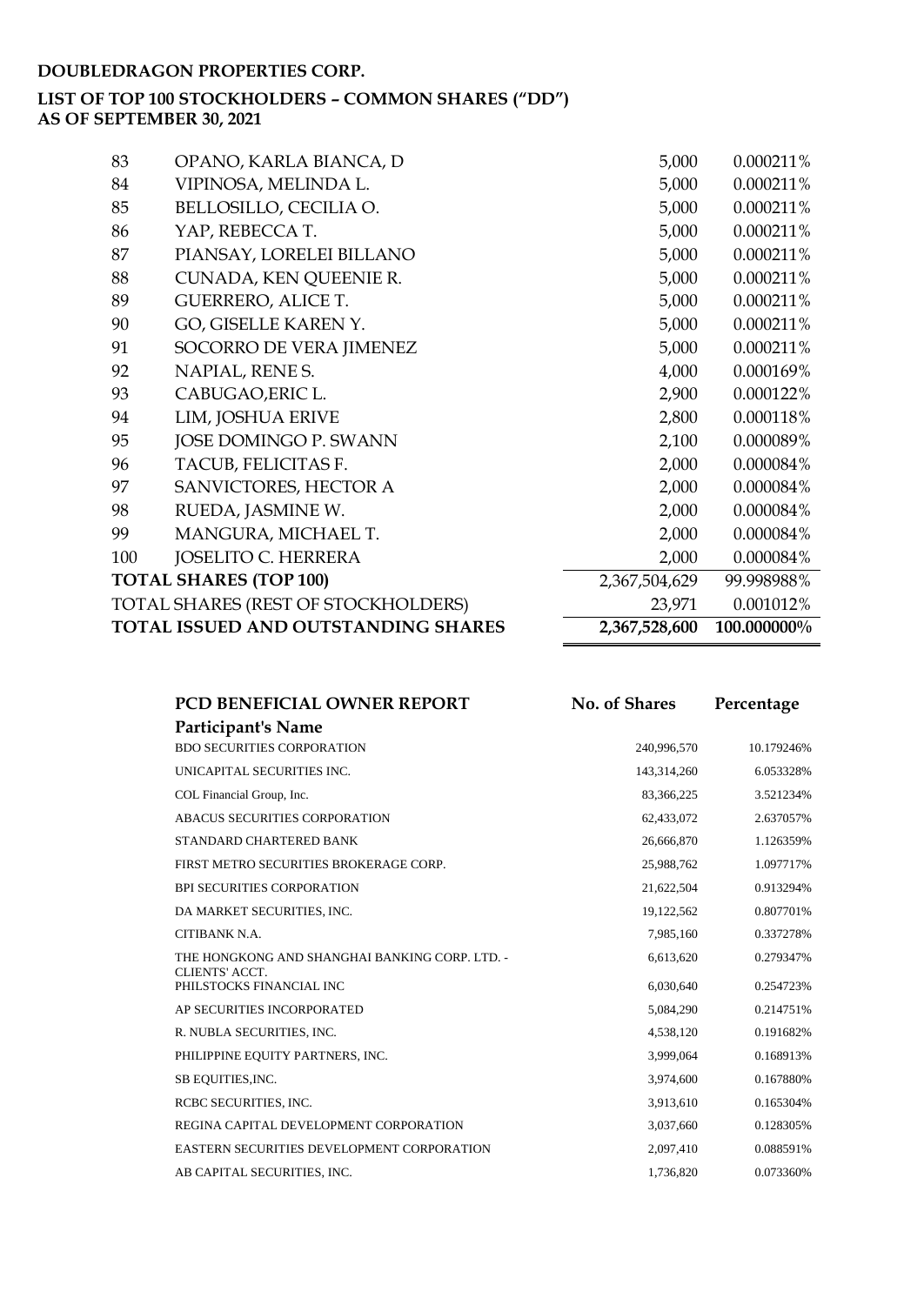# **LIST OF TOP 100 STOCKHOLDERS – COMMON SHARES ("DD")**

**AS OF SEPTEMBER 30, 2021**

| 83  | OPANO, KARLA BIANCA, D              | 5,000         | 0.000211%   |
|-----|-------------------------------------|---------------|-------------|
| 84  | VIPINOSA, MELINDA L.                | 5,000         | 0.000211%   |
| 85  | BELLOSILLO, CECILIA O.              | 5,000         | 0.000211%   |
| 86  | YAP, REBECCA T.                     | 5,000         | 0.000211%   |
| 87  | PIANSAY, LORELEI BILLANO            | 5,000         | 0.000211%   |
| 88  | CUNADA, KEN QUEENIE R.              | 5,000         | 0.000211%   |
| 89  | <b>GUERRERO, ALICE T.</b>           | 5,000         | 0.000211%   |
| 90  | GO, GISELLE KAREN Y.                | 5,000         | 0.000211%   |
| 91  | SOCORRO DE VERA JIMENEZ             | 5,000         | 0.000211%   |
| 92  | NAPIAL, RENE S.                     | 4,000         | 0.000169%   |
| 93  | CABUGAO, ERIC L.                    | 2,900         | 0.000122%   |
| 94  | LIM, JOSHUA ERIVE                   | 2,800         | 0.000118%   |
| 95  | JOSE DOMINGO P. SWANN               | 2,100         | 0.000089%   |
| 96  | TACUB, FELICITAS F.                 | 2,000         | 0.000084%   |
| 97  | SANVICTORES, HECTOR A               | 2,000         | 0.000084%   |
| 98  | RUEDA, JASMINE W.                   | 2,000         | 0.000084%   |
| 99  | MANGURA, MICHAEL T.                 | 2,000         | 0.000084%   |
| 100 | <b>JOSELITO C. HERRERA</b>          | 2,000         | 0.000084%   |
|     | <b>TOTAL SHARES (TOP 100)</b>       | 2,367,504,629 | 99.998988%  |
|     | TOTAL SHARES (REST OF STOCKHOLDERS) | 23,971        | 0.001012%   |
|     | TOTAL ISSUED AND OUTSTANDING SHARES | 2,367,528,600 | 100.000000% |

| PCD BENEFICIAL OWNER REPORT                    | No. of Shares | Percentage |
|------------------------------------------------|---------------|------------|
| Participant's Name                             |               |            |
| <b>BDO SECURITIES CORPORATION</b>              | 240,996,570   | 10.179246% |
| UNICAPITAL SECURITIES INC.                     | 143,314,260   | 6.053328%  |
| COL Financial Group, Inc.                      | 83,366,225    | 3.521234%  |
| ABACUS SECURITIES CORPORATION                  | 62,433,072    | 2.637057%  |
| STANDARD CHARTERED BANK                        | 26,666,870    | 1.126359%  |
| FIRST METRO SECURITIES BROKERAGE CORP.         | 25,988,762    | 1.097717%  |
| <b>BPI SECURITIES CORPORATION</b>              | 21,622,504    | 0.913294%  |
| DA MARKET SECURITIES, INC.                     | 19,122,562    | 0.807701%  |
| CITIBANK N.A.                                  | 7,985,160     | 0.337278%  |
| THE HONGKONG AND SHANGHAI BANKING CORP. LTD. - | 6,613,620     | 0.279347%  |
| CLIENTS' ACCT.<br>PHILSTOCKS FINANCIAL INC     | 6,030,640     | 0.254723%  |
| AP SECURITIES INCORPORATED                     | 5,084,290     | 0.214751%  |
| R. NUBLA SECURITIES, INC.                      | 4,538,120     | 0.191682%  |
| PHILIPPINE EQUITY PARTNERS, INC.               | 3,999,064     | 0.168913%  |
| SB EQUITIES, INC.                              | 3,974,600     | 0.167880%  |
| RCBC SECURITIES, INC.                          | 3,913,610     | 0.165304%  |
| REGINA CAPITAL DEVELOPMENT CORPORATION         | 3,037,660     | 0.128305%  |
| EASTERN SECURITIES DEVELOPMENT CORPORATION     | 2,097,410     | 0.088591%  |
| AB CAPITAL SECURITIES, INC.                    | 1,736,820     | 0.073360%  |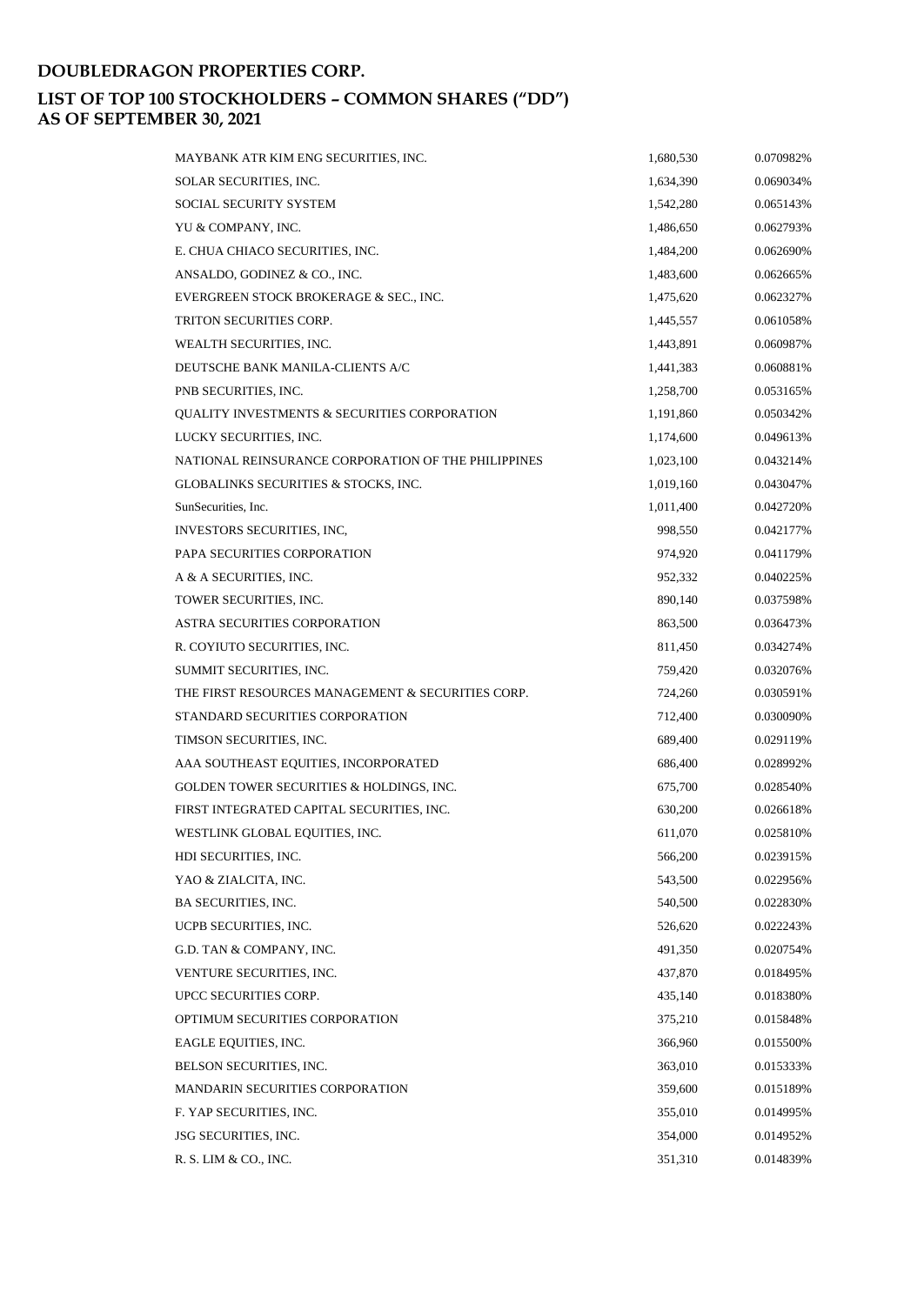| SOLAR SECURITIES, INC.<br>1,634,390<br>0.069034%<br><b>SOCIAL SECURITY SYSTEM</b><br>1,542,280<br>0.065143%<br>YU & COMPANY, INC.<br>1,486,650<br>0.062793%<br>E. CHUA CHIACO SECURITIES, INC.<br>1,484,200<br>0.062690%<br>ANSALDO, GODINEZ & CO., INC.<br>1,483,600<br>0.062665%<br>EVERGREEN STOCK BROKERAGE & SEC., INC.<br>1,475,620<br>0.062327%<br><b>TRITON SECURITIES CORP.</b><br>0.061058%<br>1,445,557<br>WEALTH SECURITIES, INC.<br>1,443,891<br>0.060987%<br>DEUTSCHE BANK MANILA-CLIENTS A/C<br>1,441,383<br>0.060881%<br>PNB SECURITIES, INC.<br>1,258,700<br>0.053165%<br>QUALITY INVESTMENTS & SECURITIES CORPORATION<br>1,191,860<br>0.050342%<br>LUCKY SECURITIES, INC.<br>1,174,600<br>0.049613%<br>NATIONAL REINSURANCE CORPORATION OF THE PHILIPPINES<br>0.043214%<br>1,023,100<br>GLOBALINKS SECURITIES & STOCKS, INC.<br>1,019,160<br>0.043047%<br>SunSecurities, Inc.<br>0.042720%<br>1,011,400<br>INVESTORS SECURITIES, INC.<br>998,550<br>0.042177%<br>PAPA SECURITIES CORPORATION<br>974,920<br>0.041179%<br>A & A SECURITIES, INC.<br>952,332<br>0.040225%<br>TOWER SECURITIES, INC.<br>890,140<br>0.037598%<br><b>ASTRA SECURITIES CORPORATION</b><br>863,500<br>0.036473%<br>R. COYIUTO SECURITIES, INC.<br>0.034274%<br>811,450<br>SUMMIT SECURITIES, INC.<br>759,420<br>0.032076%<br>THE FIRST RESOURCES MANAGEMENT & SECURITIES CORP.<br>724,260<br>0.030591%<br>STANDARD SECURITIES CORPORATION<br>712,400<br>0.030090%<br>TIMSON SECURITIES, INC.<br>689,400<br>0.029119%<br>AAA SOUTHEAST EQUITIES, INCORPORATED<br>686,400<br>0.028992%<br>GOLDEN TOWER SECURITIES & HOLDINGS, INC.<br>0.028540%<br>675,700<br>FIRST INTEGRATED CAPITAL SECURITIES, INC.<br>630,200<br>0.026618%<br>WESTLINK GLOBAL EQUITIES, INC.<br>0.025810%<br>611,070<br>566,200<br>HDI SECURITIES, INC.<br>0.023915%<br>YAO & ZIALCITA, INC.<br>543,500<br>0.022956% |
|-----------------------------------------------------------------------------------------------------------------------------------------------------------------------------------------------------------------------------------------------------------------------------------------------------------------------------------------------------------------------------------------------------------------------------------------------------------------------------------------------------------------------------------------------------------------------------------------------------------------------------------------------------------------------------------------------------------------------------------------------------------------------------------------------------------------------------------------------------------------------------------------------------------------------------------------------------------------------------------------------------------------------------------------------------------------------------------------------------------------------------------------------------------------------------------------------------------------------------------------------------------------------------------------------------------------------------------------------------------------------------------------------------------------------------------------------------------------------------------------------------------------------------------------------------------------------------------------------------------------------------------------------------------------------------------------------------------------------------------------------------------------------------------------------------------------------------------------------------------------------------------|
|                                                                                                                                                                                                                                                                                                                                                                                                                                                                                                                                                                                                                                                                                                                                                                                                                                                                                                                                                                                                                                                                                                                                                                                                                                                                                                                                                                                                                                                                                                                                                                                                                                                                                                                                                                                                                                                                                   |
|                                                                                                                                                                                                                                                                                                                                                                                                                                                                                                                                                                                                                                                                                                                                                                                                                                                                                                                                                                                                                                                                                                                                                                                                                                                                                                                                                                                                                                                                                                                                                                                                                                                                                                                                                                                                                                                                                   |
|                                                                                                                                                                                                                                                                                                                                                                                                                                                                                                                                                                                                                                                                                                                                                                                                                                                                                                                                                                                                                                                                                                                                                                                                                                                                                                                                                                                                                                                                                                                                                                                                                                                                                                                                                                                                                                                                                   |
|                                                                                                                                                                                                                                                                                                                                                                                                                                                                                                                                                                                                                                                                                                                                                                                                                                                                                                                                                                                                                                                                                                                                                                                                                                                                                                                                                                                                                                                                                                                                                                                                                                                                                                                                                                                                                                                                                   |
|                                                                                                                                                                                                                                                                                                                                                                                                                                                                                                                                                                                                                                                                                                                                                                                                                                                                                                                                                                                                                                                                                                                                                                                                                                                                                                                                                                                                                                                                                                                                                                                                                                                                                                                                                                                                                                                                                   |
|                                                                                                                                                                                                                                                                                                                                                                                                                                                                                                                                                                                                                                                                                                                                                                                                                                                                                                                                                                                                                                                                                                                                                                                                                                                                                                                                                                                                                                                                                                                                                                                                                                                                                                                                                                                                                                                                                   |
|                                                                                                                                                                                                                                                                                                                                                                                                                                                                                                                                                                                                                                                                                                                                                                                                                                                                                                                                                                                                                                                                                                                                                                                                                                                                                                                                                                                                                                                                                                                                                                                                                                                                                                                                                                                                                                                                                   |
|                                                                                                                                                                                                                                                                                                                                                                                                                                                                                                                                                                                                                                                                                                                                                                                                                                                                                                                                                                                                                                                                                                                                                                                                                                                                                                                                                                                                                                                                                                                                                                                                                                                                                                                                                                                                                                                                                   |
|                                                                                                                                                                                                                                                                                                                                                                                                                                                                                                                                                                                                                                                                                                                                                                                                                                                                                                                                                                                                                                                                                                                                                                                                                                                                                                                                                                                                                                                                                                                                                                                                                                                                                                                                                                                                                                                                                   |
|                                                                                                                                                                                                                                                                                                                                                                                                                                                                                                                                                                                                                                                                                                                                                                                                                                                                                                                                                                                                                                                                                                                                                                                                                                                                                                                                                                                                                                                                                                                                                                                                                                                                                                                                                                                                                                                                                   |
|                                                                                                                                                                                                                                                                                                                                                                                                                                                                                                                                                                                                                                                                                                                                                                                                                                                                                                                                                                                                                                                                                                                                                                                                                                                                                                                                                                                                                                                                                                                                                                                                                                                                                                                                                                                                                                                                                   |
|                                                                                                                                                                                                                                                                                                                                                                                                                                                                                                                                                                                                                                                                                                                                                                                                                                                                                                                                                                                                                                                                                                                                                                                                                                                                                                                                                                                                                                                                                                                                                                                                                                                                                                                                                                                                                                                                                   |
|                                                                                                                                                                                                                                                                                                                                                                                                                                                                                                                                                                                                                                                                                                                                                                                                                                                                                                                                                                                                                                                                                                                                                                                                                                                                                                                                                                                                                                                                                                                                                                                                                                                                                                                                                                                                                                                                                   |
|                                                                                                                                                                                                                                                                                                                                                                                                                                                                                                                                                                                                                                                                                                                                                                                                                                                                                                                                                                                                                                                                                                                                                                                                                                                                                                                                                                                                                                                                                                                                                                                                                                                                                                                                                                                                                                                                                   |
|                                                                                                                                                                                                                                                                                                                                                                                                                                                                                                                                                                                                                                                                                                                                                                                                                                                                                                                                                                                                                                                                                                                                                                                                                                                                                                                                                                                                                                                                                                                                                                                                                                                                                                                                                                                                                                                                                   |
|                                                                                                                                                                                                                                                                                                                                                                                                                                                                                                                                                                                                                                                                                                                                                                                                                                                                                                                                                                                                                                                                                                                                                                                                                                                                                                                                                                                                                                                                                                                                                                                                                                                                                                                                                                                                                                                                                   |
|                                                                                                                                                                                                                                                                                                                                                                                                                                                                                                                                                                                                                                                                                                                                                                                                                                                                                                                                                                                                                                                                                                                                                                                                                                                                                                                                                                                                                                                                                                                                                                                                                                                                                                                                                                                                                                                                                   |
|                                                                                                                                                                                                                                                                                                                                                                                                                                                                                                                                                                                                                                                                                                                                                                                                                                                                                                                                                                                                                                                                                                                                                                                                                                                                                                                                                                                                                                                                                                                                                                                                                                                                                                                                                                                                                                                                                   |
|                                                                                                                                                                                                                                                                                                                                                                                                                                                                                                                                                                                                                                                                                                                                                                                                                                                                                                                                                                                                                                                                                                                                                                                                                                                                                                                                                                                                                                                                                                                                                                                                                                                                                                                                                                                                                                                                                   |
|                                                                                                                                                                                                                                                                                                                                                                                                                                                                                                                                                                                                                                                                                                                                                                                                                                                                                                                                                                                                                                                                                                                                                                                                                                                                                                                                                                                                                                                                                                                                                                                                                                                                                                                                                                                                                                                                                   |
|                                                                                                                                                                                                                                                                                                                                                                                                                                                                                                                                                                                                                                                                                                                                                                                                                                                                                                                                                                                                                                                                                                                                                                                                                                                                                                                                                                                                                                                                                                                                                                                                                                                                                                                                                                                                                                                                                   |
|                                                                                                                                                                                                                                                                                                                                                                                                                                                                                                                                                                                                                                                                                                                                                                                                                                                                                                                                                                                                                                                                                                                                                                                                                                                                                                                                                                                                                                                                                                                                                                                                                                                                                                                                                                                                                                                                                   |
|                                                                                                                                                                                                                                                                                                                                                                                                                                                                                                                                                                                                                                                                                                                                                                                                                                                                                                                                                                                                                                                                                                                                                                                                                                                                                                                                                                                                                                                                                                                                                                                                                                                                                                                                                                                                                                                                                   |
|                                                                                                                                                                                                                                                                                                                                                                                                                                                                                                                                                                                                                                                                                                                                                                                                                                                                                                                                                                                                                                                                                                                                                                                                                                                                                                                                                                                                                                                                                                                                                                                                                                                                                                                                                                                                                                                                                   |
|                                                                                                                                                                                                                                                                                                                                                                                                                                                                                                                                                                                                                                                                                                                                                                                                                                                                                                                                                                                                                                                                                                                                                                                                                                                                                                                                                                                                                                                                                                                                                                                                                                                                                                                                                                                                                                                                                   |
|                                                                                                                                                                                                                                                                                                                                                                                                                                                                                                                                                                                                                                                                                                                                                                                                                                                                                                                                                                                                                                                                                                                                                                                                                                                                                                                                                                                                                                                                                                                                                                                                                                                                                                                                                                                                                                                                                   |
|                                                                                                                                                                                                                                                                                                                                                                                                                                                                                                                                                                                                                                                                                                                                                                                                                                                                                                                                                                                                                                                                                                                                                                                                                                                                                                                                                                                                                                                                                                                                                                                                                                                                                                                                                                                                                                                                                   |
|                                                                                                                                                                                                                                                                                                                                                                                                                                                                                                                                                                                                                                                                                                                                                                                                                                                                                                                                                                                                                                                                                                                                                                                                                                                                                                                                                                                                                                                                                                                                                                                                                                                                                                                                                                                                                                                                                   |
|                                                                                                                                                                                                                                                                                                                                                                                                                                                                                                                                                                                                                                                                                                                                                                                                                                                                                                                                                                                                                                                                                                                                                                                                                                                                                                                                                                                                                                                                                                                                                                                                                                                                                                                                                                                                                                                                                   |
|                                                                                                                                                                                                                                                                                                                                                                                                                                                                                                                                                                                                                                                                                                                                                                                                                                                                                                                                                                                                                                                                                                                                                                                                                                                                                                                                                                                                                                                                                                                                                                                                                                                                                                                                                                                                                                                                                   |
|                                                                                                                                                                                                                                                                                                                                                                                                                                                                                                                                                                                                                                                                                                                                                                                                                                                                                                                                                                                                                                                                                                                                                                                                                                                                                                                                                                                                                                                                                                                                                                                                                                                                                                                                                                                                                                                                                   |
| <b>BA SECURITIES, INC.</b><br>540,500<br>0.022830%                                                                                                                                                                                                                                                                                                                                                                                                                                                                                                                                                                                                                                                                                                                                                                                                                                                                                                                                                                                                                                                                                                                                                                                                                                                                                                                                                                                                                                                                                                                                                                                                                                                                                                                                                                                                                                |
| UCPB SECURITIES, INC.<br>526,620<br>0.022243%                                                                                                                                                                                                                                                                                                                                                                                                                                                                                                                                                                                                                                                                                                                                                                                                                                                                                                                                                                                                                                                                                                                                                                                                                                                                                                                                                                                                                                                                                                                                                                                                                                                                                                                                                                                                                                     |
| G.D. TAN & COMPANY, INC.<br>491,350<br>0.020754%                                                                                                                                                                                                                                                                                                                                                                                                                                                                                                                                                                                                                                                                                                                                                                                                                                                                                                                                                                                                                                                                                                                                                                                                                                                                                                                                                                                                                                                                                                                                                                                                                                                                                                                                                                                                                                  |
| VENTURE SECURITIES, INC.<br>437,870<br>0.018495%                                                                                                                                                                                                                                                                                                                                                                                                                                                                                                                                                                                                                                                                                                                                                                                                                                                                                                                                                                                                                                                                                                                                                                                                                                                                                                                                                                                                                                                                                                                                                                                                                                                                                                                                                                                                                                  |
| UPCC SECURITIES CORP.<br>435,140<br>0.018380%                                                                                                                                                                                                                                                                                                                                                                                                                                                                                                                                                                                                                                                                                                                                                                                                                                                                                                                                                                                                                                                                                                                                                                                                                                                                                                                                                                                                                                                                                                                                                                                                                                                                                                                                                                                                                                     |
| OPTIMUM SECURITIES CORPORATION<br>375,210<br>0.015848%                                                                                                                                                                                                                                                                                                                                                                                                                                                                                                                                                                                                                                                                                                                                                                                                                                                                                                                                                                                                                                                                                                                                                                                                                                                                                                                                                                                                                                                                                                                                                                                                                                                                                                                                                                                                                            |
| EAGLE EQUITIES, INC.<br>366,960<br>0.015500%                                                                                                                                                                                                                                                                                                                                                                                                                                                                                                                                                                                                                                                                                                                                                                                                                                                                                                                                                                                                                                                                                                                                                                                                                                                                                                                                                                                                                                                                                                                                                                                                                                                                                                                                                                                                                                      |
| BELSON SECURITIES, INC.<br>363,010<br>0.015333%                                                                                                                                                                                                                                                                                                                                                                                                                                                                                                                                                                                                                                                                                                                                                                                                                                                                                                                                                                                                                                                                                                                                                                                                                                                                                                                                                                                                                                                                                                                                                                                                                                                                                                                                                                                                                                   |
| <b>MANDARIN SECURITIES CORPORATION</b><br>359,600<br>0.015189%                                                                                                                                                                                                                                                                                                                                                                                                                                                                                                                                                                                                                                                                                                                                                                                                                                                                                                                                                                                                                                                                                                                                                                                                                                                                                                                                                                                                                                                                                                                                                                                                                                                                                                                                                                                                                    |
| F. YAP SECURITIES, INC.<br>355,010<br>0.014995%                                                                                                                                                                                                                                                                                                                                                                                                                                                                                                                                                                                                                                                                                                                                                                                                                                                                                                                                                                                                                                                                                                                                                                                                                                                                                                                                                                                                                                                                                                                                                                                                                                                                                                                                                                                                                                   |
| <b>JSG SECURITIES, INC.</b><br>354,000<br>0.014952%                                                                                                                                                                                                                                                                                                                                                                                                                                                                                                                                                                                                                                                                                                                                                                                                                                                                                                                                                                                                                                                                                                                                                                                                                                                                                                                                                                                                                                                                                                                                                                                                                                                                                                                                                                                                                               |
| R. S. LIM & CO., INC.<br>0.014839%<br>351,310                                                                                                                                                                                                                                                                                                                                                                                                                                                                                                                                                                                                                                                                                                                                                                                                                                                                                                                                                                                                                                                                                                                                                                                                                                                                                                                                                                                                                                                                                                                                                                                                                                                                                                                                                                                                                                     |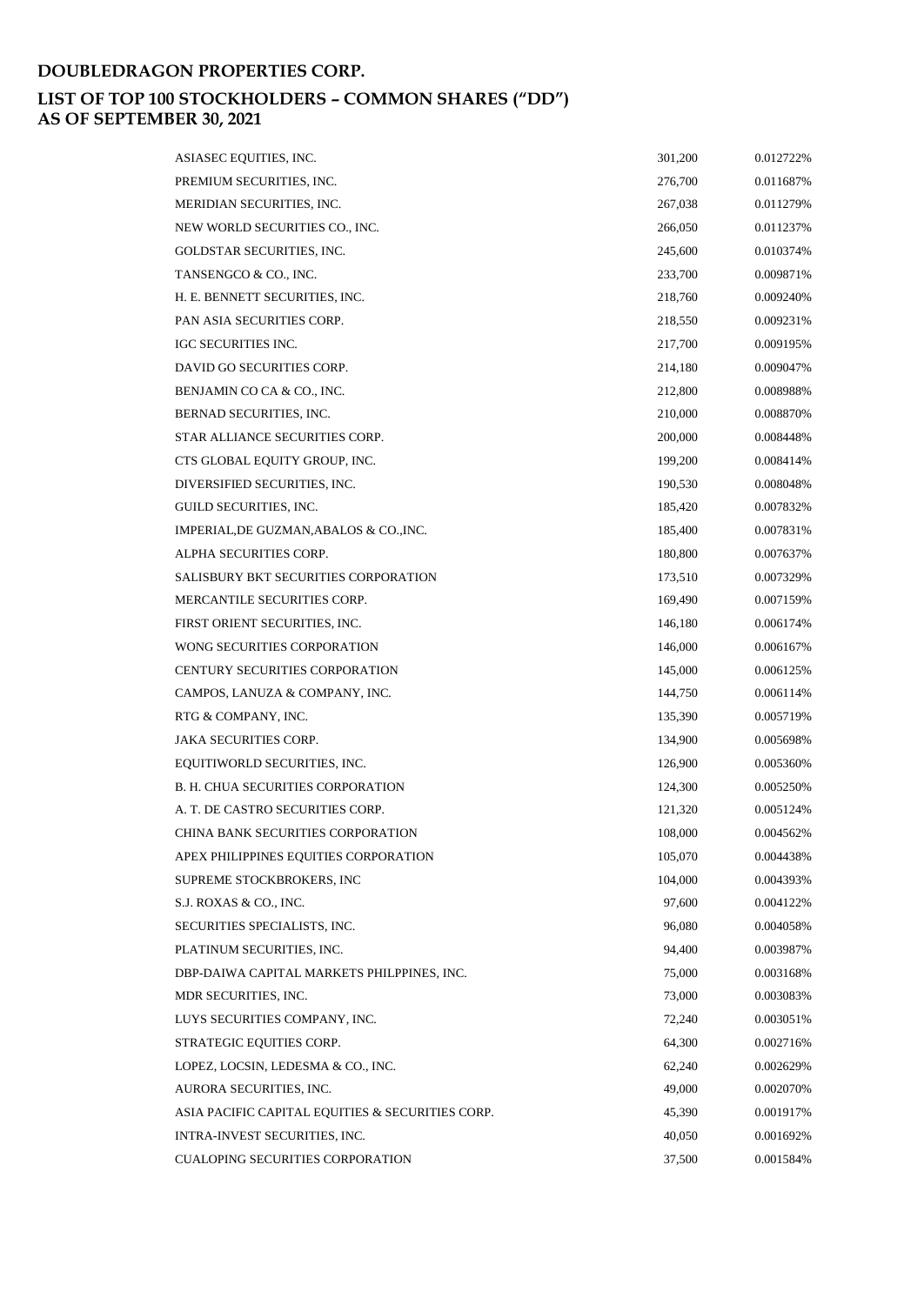| ASIASEC EQUITIES, INC.                           | 301,200 | 0.012722% |
|--------------------------------------------------|---------|-----------|
| PREMIUM SECURITIES, INC.                         | 276,700 | 0.011687% |
| MERIDIAN SECURITIES, INC.                        | 267,038 | 0.011279% |
| NEW WORLD SECURITIES CO., INC.                   | 266,050 | 0.011237% |
| GOLDSTAR SECURITIES, INC.                        | 245,600 | 0.010374% |
| TANSENGCO & CO., INC.                            | 233,700 | 0.009871% |
| H. E. BENNETT SECURITIES, INC.                   | 218,760 | 0.009240% |
| PAN ASIA SECURITIES CORP.                        | 218,550 | 0.009231% |
| <b>IGC SECURITIES INC.</b>                       | 217,700 | 0.009195% |
| DAVID GO SECURITIES CORP.                        | 214,180 | 0.009047% |
| BENJAMIN CO CA & CO., INC.                       | 212,800 | 0.008988% |
| BERNAD SECURITIES, INC.                          | 210,000 | 0.008870% |
| STAR ALLIANCE SECURITIES CORP.                   | 200,000 | 0.008448% |
| CTS GLOBAL EQUITY GROUP, INC.                    | 199,200 | 0.008414% |
| DIVERSIFIED SECURITIES, INC.                     | 190,530 | 0.008048% |
| GUILD SECURITIES, INC.                           | 185,420 | 0.007832% |
| IMPERIAL, DE GUZMAN, ABALOS & CO., INC.          | 185,400 | 0.007831% |
| ALPHA SECURITIES CORP.                           | 180,800 | 0.007637% |
| <b>SALISBURY BKT SECURITIES CORPORATION</b>      | 173,510 | 0.007329% |
| MERCANTILE SECURITIES CORP.                      | 169,490 | 0.007159% |
| FIRST ORIENT SECURITIES, INC.                    | 146,180 | 0.006174% |
| WONG SECURITIES CORPORATION                      | 146,000 | 0.006167% |
| CENTURY SECURITIES CORPORATION                   | 145,000 | 0.006125% |
| CAMPOS, LANUZA & COMPANY, INC.                   | 144,750 | 0.006114% |
| RTG & COMPANY, INC.                              | 135,390 | 0.005719% |
| <b>JAKA SECURITIES CORP.</b>                     | 134,900 | 0.005698% |
| EQUITIWORLD SECURITIES, INC.                     | 126,900 | 0.005360% |
| <b>B. H. CHUA SECURITIES CORPORATION</b>         | 124,300 | 0.005250% |
| A. T. DE CASTRO SECURITIES CORP.                 | 121,320 | 0.005124% |
| CHINA BANK SECURITIES CORPORATION                | 108,000 | 0.004562% |
| APEX PHILIPPINES EQUITIES CORPORATION            | 105,070 | 0.004438% |
| SUPREME STOCKBROKERS, INC                        | 104,000 | 0.004393% |
| S.J. ROXAS & CO., INC.                           | 97,600  | 0.004122% |
| SECURITIES SPECIALISTS, INC.                     | 96,080  | 0.004058% |
| PLATINUM SECURITIES, INC.                        | 94,400  | 0.003987% |
| DBP-DAIWA CAPITAL MARKETS PHILPPINES, INC.       | 75,000  | 0.003168% |
| MDR SECURITIES, INC.                             | 73,000  | 0.003083% |
| LUYS SECURITIES COMPANY, INC.                    | 72,240  | 0.003051% |
| STRATEGIC EQUITIES CORP.                         | 64,300  | 0.002716% |
| LOPEZ, LOCSIN, LEDESMA & CO., INC.               | 62,240  | 0.002629% |
| AURORA SECURITIES, INC.                          | 49,000  | 0.002070% |
| ASIA PACIFIC CAPITAL EQUITIES & SECURITIES CORP. | 45,390  | 0.001917% |
| INTRA-INVEST SECURITIES, INC.                    | 40,050  | 0.001692% |
| <b>CUALOPING SECURITIES CORPORATION</b>          | 37,500  | 0.001584% |
|                                                  |         |           |